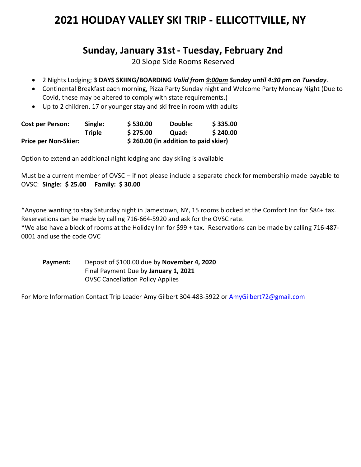## **2021 HOLIDAY VALLEY SKI TRIP - ELLICOTTVILLE, NY**

## **Sunday, January 31st- Tuesday, February 2nd**

20 Slope Side Rooms Reserved

- 2 Nights Lodging; **3 DAYS SKIING/BOARDING** *Valid from 9:00am Sunday until 4:30 pm on Tuesday*.
- Continental Breakfast each morning, Pizza Party Sunday night and Welcome Party Monday Night (Due to Covid, these may be altered to comply with state requirements.)
- Up to 2 children, 17 or younger stay and ski free in room with adults

| <b>Cost per Person:</b>     | Single:       | \$530.00                             | Double:      | \$335.00 |
|-----------------------------|---------------|--------------------------------------|--------------|----------|
|                             | <b>Triple</b> | \$275.00                             | <b>Quad:</b> | \$240.00 |
| <b>Price per Non-Skier:</b> |               | \$260.00 (in addition to paid skier) |              |          |

Option to extend an additional night lodging and day skiing is available

Must be a current member of OVSC – if not please include a separate check for membership made payable to OVSC: **Single: \$ 25.00 Family: \$ 30.00**

\*Anyone wanting to stay Saturday night in Jamestown, NY, 15 rooms blocked at the Comfort Inn for \$84+ tax. Reservations can be made by calling 716-664-5920 and ask for the OVSC rate.

\*We also have a block of rooms at the Holiday Inn for \$99 + tax. Reservations can be made by calling 716-487- 0001 and use the code OVC

**Payment:** Deposit of \$100.00 due by **November 4, 2020** Final Payment Due by **January 1, 2021** OVSC Cancellation Policy Applies

For More Information Contact Trip Leader Amy Gilbert 304-483-5922 or **AmyGilbert72@gmail.com**